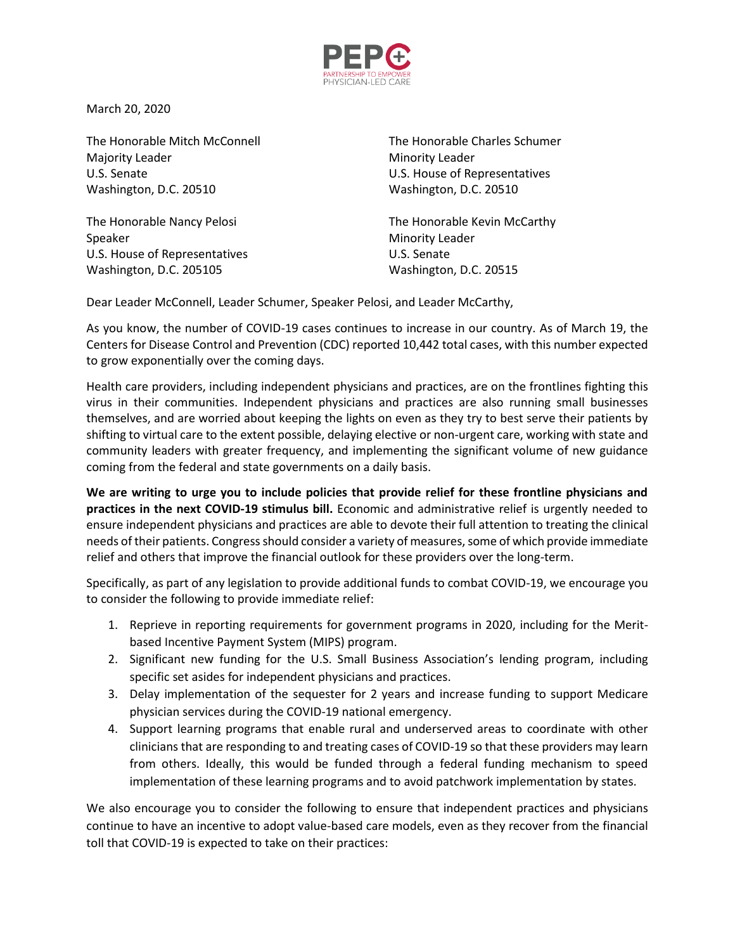

March 20, 2020

The Honorable Mitch McConnell The Honorable Charles Schumer Majority Leader **Minority Leader** Minority Leader U.S. Senate U.S. House of Representatives Washington, D.C. 20510 Washington, D.C. 20510

Speaker Minority Leader U.S. House of Representatives U.S. Senate Washington, D.C. 205105 Washington, D.C. 20515

The Honorable Nancy Pelosi **The Honorable Kevin McCarthy** 

Dear Leader McConnell, Leader Schumer, Speaker Pelosi, and Leader McCarthy,

As you know, the number of COVID-19 cases continues to increase in our country. As of March 19, the Centers for Disease Control and Prevention (CDC) reported 10,442 total cases, with this number expected to grow exponentially over the coming days.

Health care providers, including independent physicians and practices, are on the frontlines fighting this virus in their communities. Independent physicians and practices are also running small businesses themselves, and are worried about keeping the lights on even as they try to best serve their patients by shifting to virtual care to the extent possible, delaying elective or non-urgent care, working with state and community leaders with greater frequency, and implementing the significant volume of new guidance coming from the federal and state governments on a daily basis.

**We are writing to urge you to include policies that provide relief for these frontline physicians and practices in the next COVID-19 stimulus bill.** Economic and administrative relief is urgently needed to ensure independent physicians and practices are able to devote their full attention to treating the clinical needs of their patients. Congress should consider a variety of measures, some of which provide immediate relief and others that improve the financial outlook for these providers over the long-term.

Specifically, as part of any legislation to provide additional funds to combat COVID-19, we encourage you to consider the following to provide immediate relief:

- 1. Reprieve in reporting requirements for government programs in 2020, including for the Meritbased Incentive Payment System (MIPS) program.
- 2. Significant new funding for the U.S. Small Business Association's lending program, including specific set asides for independent physicians and practices.
- 3. Delay implementation of the sequester for 2 years and increase funding to support Medicare physician services during the COVID-19 national emergency.
- 4. Support learning programs that enable rural and underserved areas to coordinate with other clinicians that are responding to and treating cases of COVID-19 so that these providers may learn from others. Ideally, this would be funded through a federal funding mechanism to speed implementation of these learning programs and to avoid patchwork implementation by states.

We also encourage you to consider the following to ensure that independent practices and physicians continue to have an incentive to adopt value-based care models, even as they recover from the financial toll that COVID-19 is expected to take on their practices: